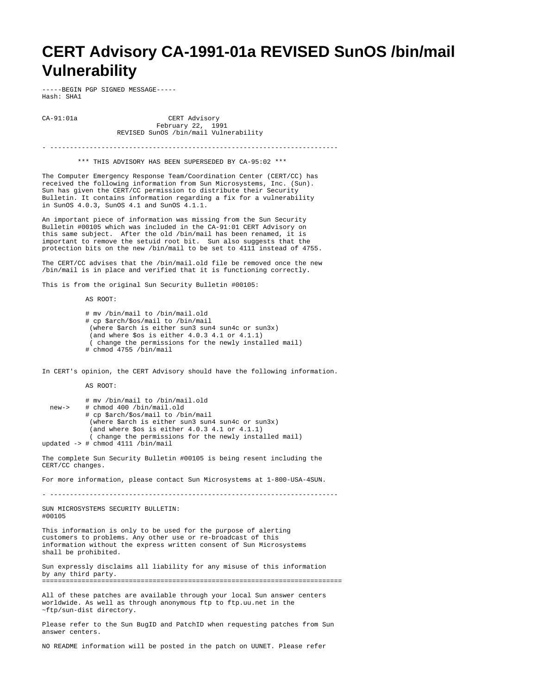## **CERT Advisory CA-1991-01a REVISED SunOS /bin/mail Vulnerability**

-----BEGIN PGP SIGNED MESSAGE----- Hash: SHA1

CA-91:01a CERT Advisory February 22, 1991 REVISED SunOS /bin/mail Vulnerability

- -------------------------------------------------------------------------

\*\*\* THIS ADVISORY HAS BEEN SUPERSEDED BY CA-95:02 \*\*\*

The Computer Emergency Response Team/Coordination Center (CERT/CC) has received the following information from Sun Microsystems, Inc. (Sun). Sun has given the CERT/CC permission to distribute their Security Bulletin. It contains information regarding a fix for a vulnerability in SunOS 4.0.3, SunOS 4.1 and SunOS 4.1.1.

An important piece of information was missing from the Sun Security Bulletin #00105 which was included in the CA-91:01 CERT Advisory on this same subject. After the old /bin/mail has been renamed, it is important to remove the setuid root bit. Sun also suggests that the protection bits on the new /bin/mail to be set to 4111 instead of 4755.

The CERT/CC advises that the /bin/mail.old file be removed once the new /bin/mail is in place and verified that it is functioning correctly.

This is from the original Sun Security Bulletin #00105:

AS ROOT:

 # mv /bin/mail to /bin/mail.old # cp \$arch/\$os/mail to /bin/mail (where \$arch is either sun3 sun4 sun4c or sun3x) (and where \$os is either 4.0.3 4.1 or 4.1.1) ( change the permissions for the newly installed mail) # chmod 4755 /bin/mail

In CERT's opinion, the CERT Advisory should have the following information.

AS ROOT:

| new-> | # mv /bin/mail to /bin/mail.old<br># chmod 400 /bin/mail.old |
|-------|--------------------------------------------------------------|
|       | # cp \$arch/\$os/mail to /bin/mail                           |
|       | (where \$arch is either sun3 sun4 sun4c or sun3x)            |
|       | (and where $\text{\$os}$ is either 4.0.3 4.1 or 4.1.1)       |
|       | (change the permissions for the newly installed mail)        |
|       | updated -> # chmod 4111 /bin/mail                            |

The complete Sun Security Bulletin #00105 is being resent including the CERT/CC changes.

For more information, please contact Sun Microsystems at 1-800-USA-4SUN.

- ------------------------------------------------------------------------- SUN MICROSYSTEMS SECURITY BULLETIN: #00105 This information is only to be used for the purpose of alerting customers to problems. Any other use or re-broadcast of this information without the express written consent of Sun Microsystems shall be prohibited.

Sun expressly disclaims all liability for any misuse of this information by any third party. ============================================================================

All of these patches are available through your local Sun answer centers worldwide. As well as through anonymous ftp to ftp.uu.net in the ~ftp/sun-dist directory.

Please refer to the Sun BugID and PatchID when requesting patches from Sun answer centers.

NO README information will be posted in the patch on UUNET. Please refer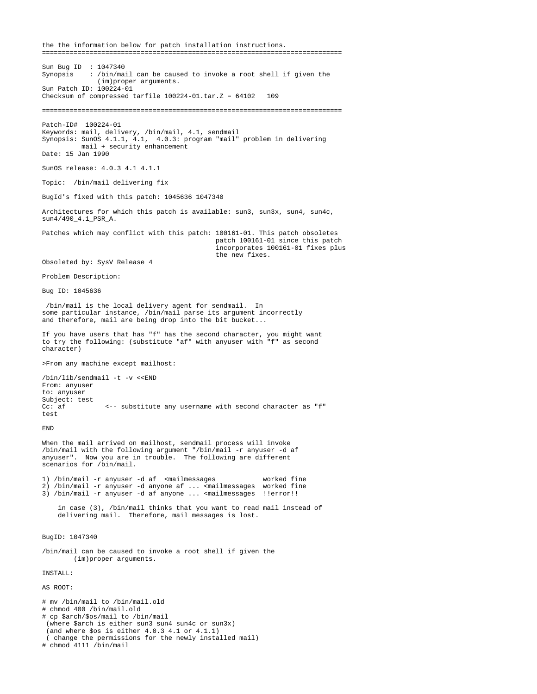the the information below for patch installation instructions. ============================================================================ Sun Bug ID : 1047340<br>Synopsis : /bin/ma : /bin/mail can be caused to invoke a root shell if given the (im)proper arguments. Sun Patch ID: 100224-01 Checksum of compressed tarfile 100224-01.tar.Z = 64102 109 ============================================================================ Patch-ID# 100224-01 Keywords: mail, delivery, /bin/mail, 4.1, sendmail Synopsis: SunOS 4.1.1, 4.1, 4.0.3: program "mail" problem in delivering mail + security enhancement Date: 15 Jan 1990 SunOS release: 4.0.3 4.1 4.1.1 Topic: /bin/mail delivering fix BugId's fixed with this patch: 1045636 1047340 Architectures for which this patch is available: sun3, sun3x, sun4, sun4c, sun4/490\_4.1\_PSR\_A. Patches which may conflict with this patch: 100161-01. This patch obsoletes patch 100161-01 since this patch incorporates 100161-01 fixes plus the new fixes. Obsoleted by: SysV Release 4 Problem Description: Bug ID: 1045636 /bin/mail is the local delivery agent for sendmail. In some particular instance, /bin/mail parse its argument incorrectly and therefore, mail are being drop into the bit bucket... If you have users that has "f" has the second character, you might want to try the following: (substitute "af" with anyuser with "f" as second character) >From any machine except mailhost: /bin/lib/sendmail -t -v <<END From: anyuser to: anyuser Subject: test<br>Cc: af Cc: af <-- substitute any username with second character as "f" test END When the mail arrived on mailhost, sendmail process will invoke /bin/mail with the following argument "/bin/mail -r anyuser -d af anyuser". Now you are in trouble. The following are different scenarios for /bin/mail. 1) /bin/mail -r anyuser -d af <mailmessages worked fine 2) /bin/mail -r anyuser -d anyone af ... <mailmessages worked fine 3) /bin/mail -r anyuser -d af anyone ... <mailmessages !!error!! in case (3), /bin/mail thinks that you want to read mail instead of delivering mail. Therefore, mail messages is lost. BugID: 1047340 /bin/mail can be caused to invoke a root shell if given the (im)proper arguments. INSTALL: AS ROOT: # mv /bin/mail to /bin/mail.old # chmod 400 /bin/mail.old # cp \$arch/\$os/mail to /bin/mail (where \$arch is either sun3 sun4 sun4c or sun3x) (and where \$os is either 4.0.3 4.1 or 4.1.1)

 ( change the permissions for the newly installed mail) # chmod 4111 /bin/mail